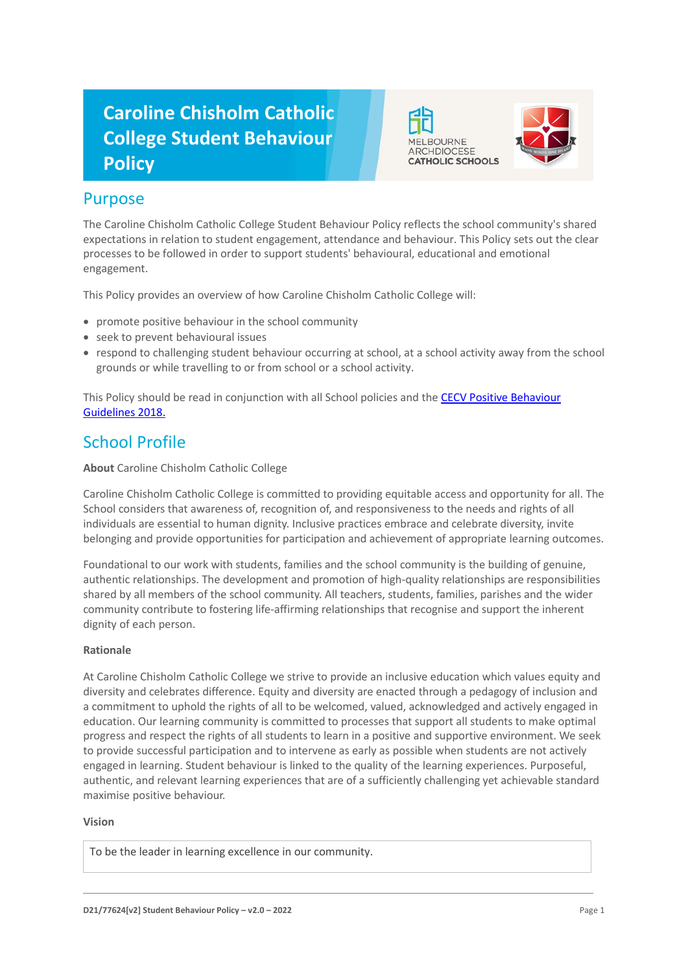# **Caroline Chisholm Catholic College Student Behaviour Policy**





### Purpose

The Caroline Chisholm Catholic College Student Behaviour Policy reflects the school community's shared expectations in relation to student engagement, attendance and behaviour. This Policy sets out the clear processes to be followed in order to support students' behavioural, educational and emotional engagement.

This Policy provides an overview of how Caroline Chisholm Catholic College will:

- promote positive behaviour in the school community
- seek to prevent behavioural issues
- respond to challenging student behaviour occurring at school, at a school activity away from the school grounds or while travelling to or from school or a school activity.

This Policy should be read in conjunction with all School policies and the CECV Positive Behaviour [Guidelines 2018.](https://www.cecv.catholic.edu.au/getmedia/bc1d235d-9a98-4bb4-b3ac-84b50fa7c639/CECV-Positive-Behaviour-Guidelines_FINAL2.aspx?ext=.pdf)

# School Profile

### **About** Caroline Chisholm Catholic College

Caroline Chisholm Catholic College is committed to providing equitable access and opportunity for all. The School considers that awareness of, recognition of, and responsiveness to the needs and rights of all individuals are essential to human dignity. Inclusive practices embrace and celebrate diversity, invite belonging and provide opportunities for participation and achievement of appropriate learning outcomes.

Foundational to our work with students, families and the school community is the building of genuine, authentic relationships. The development and promotion of high-quality relationships are responsibilities shared by all members of the school community. All teachers, students, families, parishes and the wider community contribute to fostering life-affirming relationships that recognise and support the inherent dignity of each person.

### **Rationale**

At Caroline Chisholm Catholic College we strive to provide an inclusive education which values equity and diversity and celebrates difference. Equity and diversity are enacted through a pedagogy of inclusion and a commitment to uphold the rights of all to be welcomed, valued, acknowledged and actively engaged in education. Our learning community is committed to processes that support all students to make optimal progress and respect the rights of all students to learn in a positive and supportive environment. We seek to provide successful participation and to intervene as early as possible when students are not actively engaged in learning. Student behaviour is linked to the quality of the learning experiences. Purposeful, authentic, and relevant learning experiences that are of a sufficiently challenging yet achievable standard maximise positive behaviour.

### **Vision**

To be the leader in learning excellence in our community.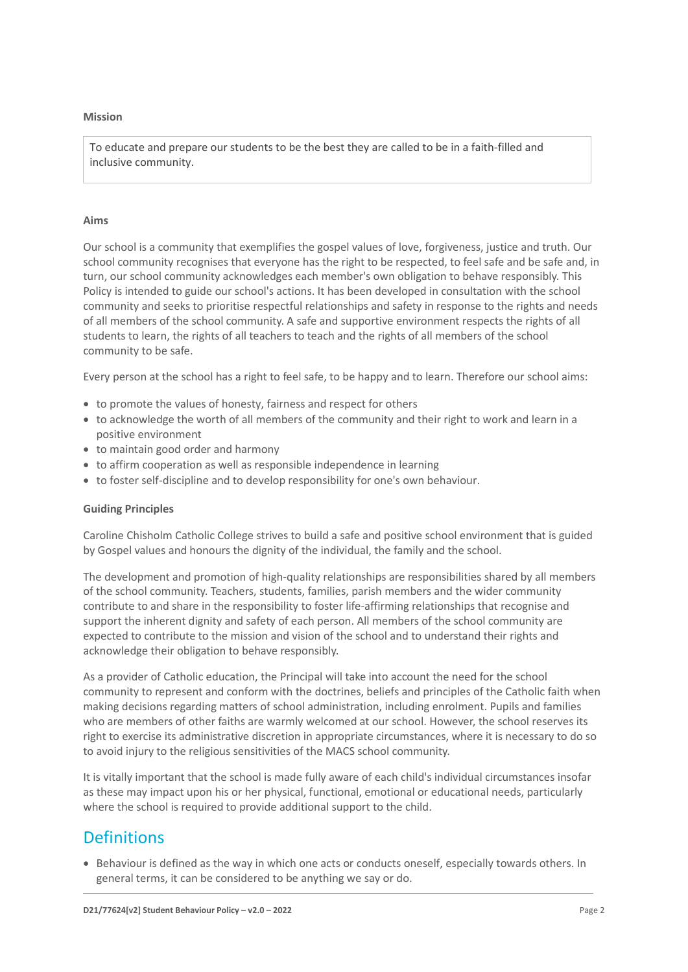#### **Mission**

To educate and prepare our students to be the best they are called to be in a faith-filled and inclusive community.

#### **Aims**

Our school is a community that exemplifies the gospel values of love, forgiveness, justice and truth. Our school community recognises that everyone has the right to be respected, to feel safe and be safe and, in turn, our school community acknowledges each member's own obligation to behave responsibly. This Policy is intended to guide our school's actions. It has been developed in consultation with the school community and seeks to prioritise respectful relationships and safety in response to the rights and needs of all members of the school community. A safe and supportive environment respects the rights of all students to learn, the rights of all teachers to teach and the rights of all members of the school community to be safe.

Every person at the school has a right to feel safe, to be happy and to learn. Therefore our school aims:

- to promote the values of honesty, fairness and respect for others
- to acknowledge the worth of all members of the community and their right to work and learn in a positive environment
- to maintain good order and harmony
- to affirm cooperation as well as responsible independence in learning
- to foster self-discipline and to develop responsibility for one's own behaviour.

#### **Guiding Principles**

Caroline Chisholm Catholic College strives to build a safe and positive school environment that is guided by Gospel values and honours the dignity of the individual, the family and the school.

The development and promotion of high-quality relationships are responsibilities shared by all members of the school community. Teachers, students, families, parish members and the wider community contribute to and share in the responsibility to foster life-affirming relationships that recognise and support the inherent dignity and safety of each person. All members of the school community are expected to contribute to the mission and vision of the school and to understand their rights and acknowledge their obligation to behave responsibly.

As a provider of Catholic education, the Principal will take into account the need for the school community to represent and conform with the doctrines, beliefs and principles of the Catholic faith when making decisions regarding matters of school administration, including enrolment. Pupils and families who are members of other faiths are warmly welcomed at our school. However, the school reserves its right to exercise its administrative discretion in appropriate circumstances, where it is necessary to do so to avoid injury to the religious sensitivities of the MACS school community.

It is vitally important that the school is made fully aware of each child's individual circumstances insofar as these may impact upon his or her physical, functional, emotional or educational needs, particularly where the school is required to provide additional support to the child.

### **Definitions**

• Behaviour is defined as the way in which one acts or conducts oneself, especially towards others. In general terms, it can be considered to be anything we say or do.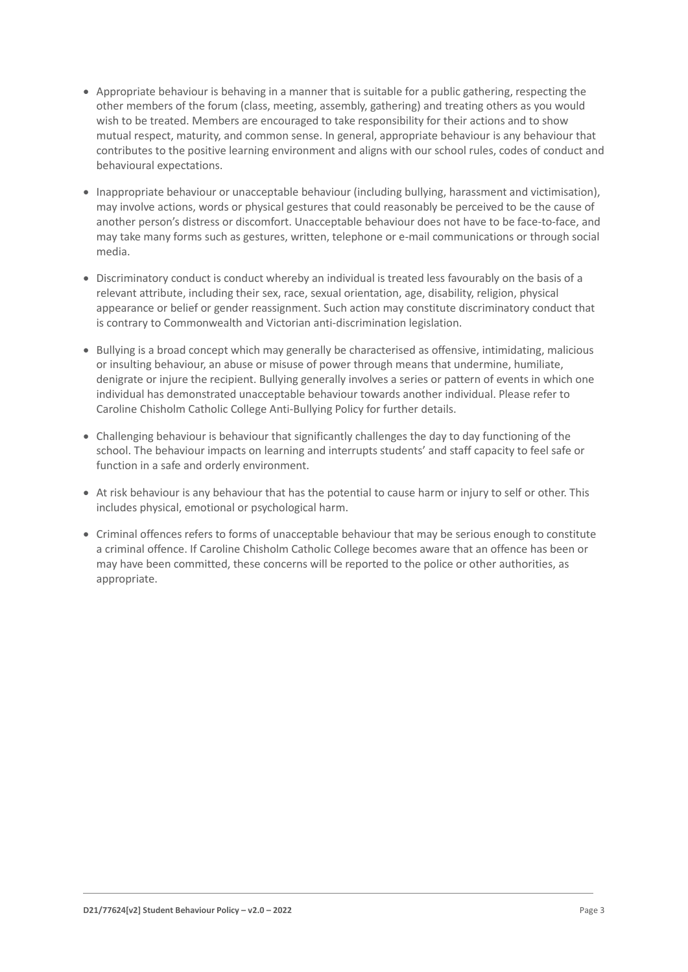- Appropriate behaviour is behaving in a manner that is suitable for a public gathering, respecting the other members of the forum (class, meeting, assembly, gathering) and treating others as you would wish to be treated. Members are encouraged to take responsibility for their actions and to show mutual respect, maturity, and common sense. In general, appropriate behaviour is any behaviour that contributes to the positive learning environment and aligns with our school rules, codes of conduct and behavioural expectations.
- Inappropriate behaviour or unacceptable behaviour (including bullying, harassment and victimisation), may involve actions, words or physical gestures that could reasonably be perceived to be the cause of another person's distress or discomfort. Unacceptable behaviour does not have to be face-to-face, and may take many forms such as gestures, written, telephone or e-mail communications or through social media.
- Discriminatory conduct is conduct whereby an individual is treated less favourably on the basis of a relevant attribute, including their sex, race, sexual orientation, age, disability, religion, physical appearance or belief or gender reassignment. Such action may constitute discriminatory conduct that is contrary to Commonwealth and Victorian anti-discrimination legislation.
- Bullying is a broad concept which may generally be characterised as offensive, intimidating, malicious or insulting behaviour, an abuse or misuse of power through means that undermine, humiliate, denigrate or injure the recipient. Bullying generally involves a series or pattern of events in which one individual has demonstrated unacceptable behaviour towards another individual. Please refer to Caroline Chisholm Catholic College Anti-Bullying Policy for further details.
- Challenging behaviour is behaviour that significantly challenges the day to day functioning of the school. The behaviour impacts on learning and interrupts students' and staff capacity to feel safe or function in a safe and orderly environment.
- At risk behaviour is any behaviour that has the potential to cause harm or injury to self or other. This includes physical, emotional or psychological harm.
- Criminal offences refers to forms of unacceptable behaviour that may be serious enough to constitute a criminal offence. If Caroline Chisholm Catholic College becomes aware that an offence has been or may have been committed, these concerns will be reported to the police or other authorities, as appropriate.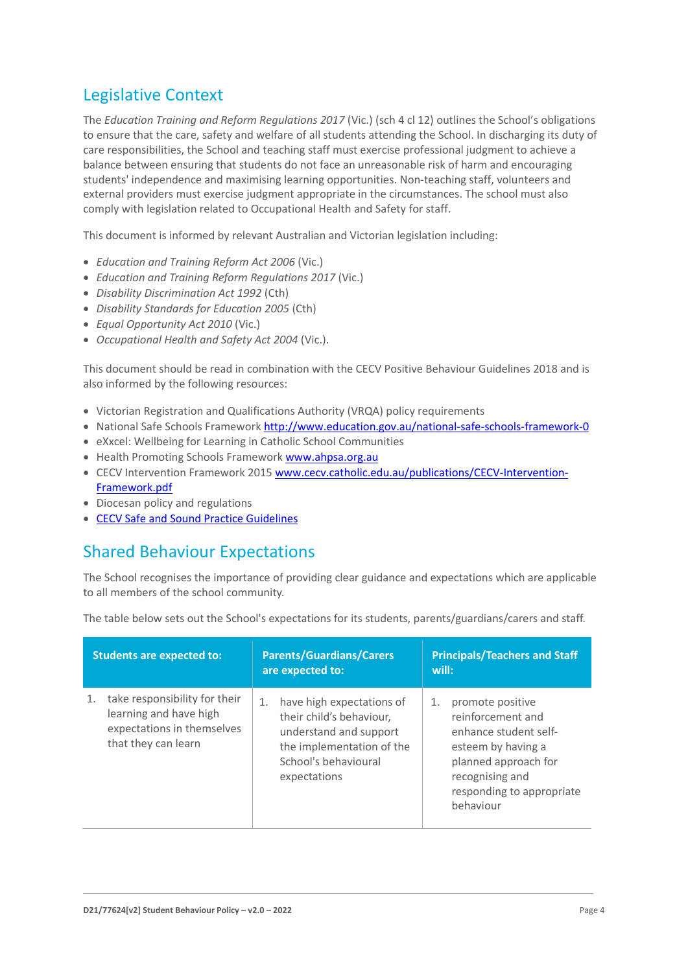# Legislative Context

The *Education Training and Reform Regulations 2017* (Vic.) (sch 4 cl 12) outlines the School's obligations to ensure that the care, safety and welfare of all students attending the School. In discharging its duty of care responsibilities, the School and teaching staff must exercise professional judgment to achieve a balance between ensuring that students do not face an unreasonable risk of harm and encouraging students' independence and maximising learning opportunities. Non-teaching staff, volunteers and external providers must exercise judgment appropriate in the circumstances. The school must also comply with legislation related to Occupational Health and Safety for staff.

This document is informed by relevant Australian and Victorian legislation including:

- *Education and Training Reform Act 2006* (Vic.)
- *Education and Training Reform Regulations 2017* (Vic.)
- *Disability Discrimination Act 1992* (Cth)
- *Disability Standards for Education 2005* (Cth)
- *Equal Opportunity Act 2010* (Vic.)
- *Occupational Health and Safety Act 2004* (Vic.).

This document should be read in combination with the CECV Positive Behaviour Guidelines 2018 and is also informed by the following resources:

- Victorian Registration and Qualifications Authority (VRQA) policy requirements
- National Safe Schools Framewor[k http://www.education.gov.au/national-safe-schools-framework-0](http://www.education.gov.au/national-safe-schools-framework-0)
- eXxcel: Wellbeing for Learning in Catholic School Communities
- Health Promoting Schools Framework [www.ahpsa.org.au](http://www.ahpsa.org.au/)
- CECV Intervention Framework 2015 [www.cecv.catholic.edu.au/publications/CECV-Intervention-](http://www.cecv.catholic.edu.au/publications/CECV-Intervention-Framework.pdf)[Framework.pdf](http://www.cecv.catholic.edu.au/publications/CECV-Intervention-Framework.pdf)
- Diocesan policy and regulations
- [CECV Safe and Sound Practice Guidelines](https://www.cecv.catholic.edu.au/getmedia/bad5e328-b5f9-4742-a66c-0c7f20ae21ff/Safe-and-Sound-Practice-Guidelines.aspx)

# Shared Behaviour Expectations

The School recognises the importance of providing clear guidance and expectations which are applicable to all members of the school community.

| The table below sets out the School's expectations for its students, parents/guardians/carers and staff. |  |  |  |
|----------------------------------------------------------------------------------------------------------|--|--|--|
|                                                                                                          |  |  |  |

| <b>Students are expected to:</b>                                                                             | <b>Parents/Guardians/Carers</b><br>are expected to:                                                                                                        | <b>Principals/Teachers and Staff</b><br>will:                                                                                                                                   |
|--------------------------------------------------------------------------------------------------------------|------------------------------------------------------------------------------------------------------------------------------------------------------------|---------------------------------------------------------------------------------------------------------------------------------------------------------------------------------|
| take responsibility for their<br>learning and have high<br>expectations in themselves<br>that they can learn | have high expectations of<br>1.<br>their child's behaviour,<br>understand and support<br>the implementation of the<br>School's behavioural<br>expectations | promote positive<br>1.<br>reinforcement and<br>enhance student self-<br>esteem by having a<br>planned approach for<br>recognising and<br>responding to appropriate<br>behaviour |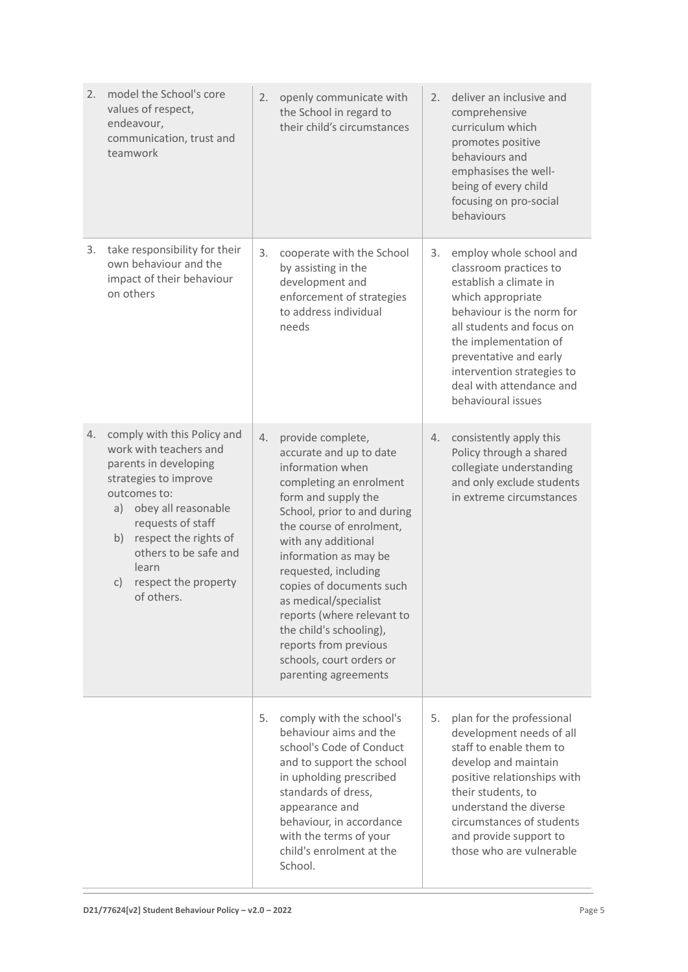| 2. | model the School's core<br>values of respect,<br>endeavour,<br>communication, trust and<br>teamwork                                                                                                                                                                                    | 2. | openly communicate with<br>the School in regard to<br>their child's circumstances                                                                                                                                                                                                                                                                                                                                                                | 2. | deliver an inclusive and<br>comprehensive<br>curriculum which<br>promotes positive<br>behaviours and<br>emphasises the well-<br>being of every child<br>focusing on pro-social<br>behaviours                                                                                                  |
|----|----------------------------------------------------------------------------------------------------------------------------------------------------------------------------------------------------------------------------------------------------------------------------------------|----|--------------------------------------------------------------------------------------------------------------------------------------------------------------------------------------------------------------------------------------------------------------------------------------------------------------------------------------------------------------------------------------------------------------------------------------------------|----|-----------------------------------------------------------------------------------------------------------------------------------------------------------------------------------------------------------------------------------------------------------------------------------------------|
| 3. | take responsibility for their<br>own behaviour and the<br>impact of their behaviour<br>on others                                                                                                                                                                                       | 3. | cooperate with the School<br>by assisting in the<br>development and<br>enforcement of strategies<br>to address individual<br>needs                                                                                                                                                                                                                                                                                                               | 3. | employ whole school and<br>classroom practices to<br>establish a climate in<br>which appropriate<br>behaviour is the norm for<br>all students and focus on<br>the implementation of<br>preventative and early<br>intervention strategies to<br>deal with attendance and<br>behavioural issues |
| 4. | comply with this Policy and<br>work with teachers and<br>parents in developing<br>strategies to improve<br>outcomes to:<br>obey all reasonable<br>a)<br>requests of staff<br>respect the rights of<br>b)<br>others to be safe and<br>learn<br>respect the property<br>C)<br>of others. | 4. | provide complete,<br>accurate and up to date<br>information when<br>completing an enrolment<br>form and supply the<br>School, prior to and during<br>the course of enrolment,<br>with any additional<br>information as may be<br>requested, including<br>copies of documents such<br>as medical/specialist<br>reports (where relevant to<br>the child's schooling),<br>reports from previous<br>schools, court orders or<br>parenting agreements | 4. | consistently apply this<br>Policy through a shared<br>collegiate understanding<br>and only exclude students<br>in extreme circumstances                                                                                                                                                       |
|    |                                                                                                                                                                                                                                                                                        | 5. | comply with the school's<br>behaviour aims and the<br>school's Code of Conduct<br>and to support the school<br>in upholding prescribed<br>standards of dress,<br>appearance and<br>behaviour, in accordance<br>with the terms of your<br>child's enrolment at the<br>School.                                                                                                                                                                     | 5. | plan for the professional<br>development needs of all<br>staff to enable them to<br>develop and maintain<br>positive relationships with<br>their students, to<br>understand the diverse<br>circumstances of students<br>and provide support to<br>those who are vulnerable                    |

 $\equiv$ 

 $\overline{\phantom{0}}$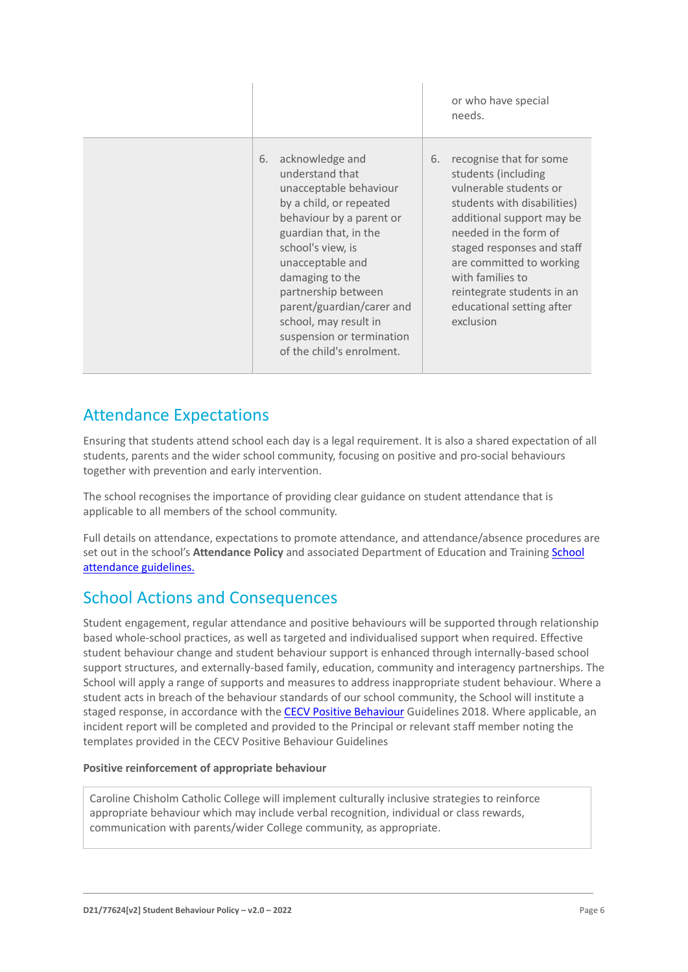|                                                                                                                                                                                                                                                                                                                                                       | or who have special<br>needs.                                                                                                                                                                                                                                                                                             |
|-------------------------------------------------------------------------------------------------------------------------------------------------------------------------------------------------------------------------------------------------------------------------------------------------------------------------------------------------------|---------------------------------------------------------------------------------------------------------------------------------------------------------------------------------------------------------------------------------------------------------------------------------------------------------------------------|
| acknowledge and<br>6.<br>understand that<br>unacceptable behaviour<br>by a child, or repeated<br>behaviour by a parent or<br>guardian that, in the<br>school's view, is<br>unacceptable and<br>damaging to the<br>partnership between<br>parent/guardian/carer and<br>school, may result in<br>suspension or termination<br>of the child's enrolment. | recognise that for some<br>6.<br>students (including<br>vulnerable students or<br>students with disabilities)<br>additional support may be<br>needed in the form of<br>staged responses and staff<br>are committed to working<br>with families to<br>reintegrate students in an<br>educational setting after<br>exclusion |

# Attendance Expectations

Ensuring that students attend school each day is a legal requirement. It is also a shared expectation of all students, parents and the wider school community, focusing on positive and pro-social behaviours together with prevention and early intervention.

The school recognises the importance of providing clear guidance on student attendance that is applicable to all members of the school community.

Full details on attendance, expectations to promote attendance, and attendance/absence procedures are set out in the school's **Attendance Policy** and associated Department of Education and Trainin[g School](https://www2.education.vic.gov.au/pal/attendance/guidance)  [attendance guidelines.](https://www2.education.vic.gov.au/pal/attendance/guidance)

# School Actions and Consequences

Student engagement, regular attendance and positive behaviours will be supported through relationship based whole-school practices, as well as targeted and individualised support when required. Effective student behaviour change and student behaviour support is enhanced through internally-based school support structures, and externally-based family, education, community and interagency partnerships. The School will apply a range of supports and measures to address inappropriate student behaviour. Where a student acts in breach of the behaviour standards of our school community, the School will institute a staged response, in accordance with the [CECV Positive Behaviour](https://www.cecv.catholic.edu.au/getmedia/bc1d235d-9a98-4bb4-b3ac-84b50fa7c639/CECV-Positive-Behaviour-Guidelines_FINAL2.aspx?ext=.pdf) Guidelines 2018. Where applicable, an incident report will be completed and provided to the Principal or relevant staff member noting the templates provided in the CECV Positive Behaviour Guidelines

### **Positive reinforcement of appropriate behaviour**

Caroline Chisholm Catholic College will implement culturally inclusive strategies to reinforce appropriate behaviour which may include verbal recognition, individual or class rewards, communication with parents/wider College community, as appropriate.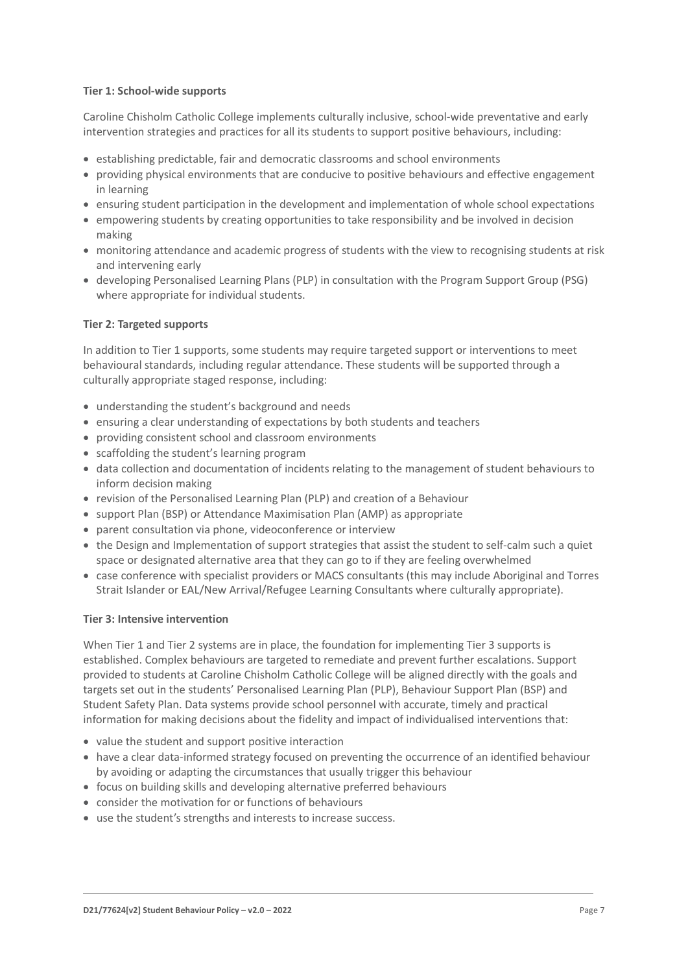### **Tier 1: School-wide supports**

Caroline Chisholm Catholic College implements culturally inclusive, school-wide preventative and early intervention strategies and practices for all its students to support positive behaviours, including:

- establishing predictable, fair and democratic classrooms and school environments
- providing physical environments that are conducive to positive behaviours and effective engagement in learning
- ensuring student participation in the development and implementation of whole school expectations
- empowering students by creating opportunities to take responsibility and be involved in decision making
- monitoring attendance and academic progress of students with the view to recognising students at risk and intervening early
- developing Personalised Learning Plans (PLP) in consultation with the Program Support Group (PSG) where appropriate for individual students.

### **Tier 2: Targeted supports**

In addition to Tier 1 supports, some students may require targeted support or interventions to meet behavioural standards, including regular attendance. These students will be supported through a culturally appropriate staged response, including:

- understanding the student's background and needs
- ensuring a clear understanding of expectations by both students and teachers
- providing consistent school and classroom environments
- scaffolding the student's learning program
- data collection and documentation of incidents relating to the management of student behaviours to inform decision making
- revision of the Personalised Learning Plan (PLP) and creation of a Behaviour
- support Plan (BSP) or Attendance Maximisation Plan (AMP) as appropriate
- parent consultation via phone, videoconference or interview
- the Design and Implementation of support strategies that assist the student to self-calm such a quiet space or designated alternative area that they can go to if they are feeling overwhelmed
- case conference with specialist providers or MACS consultants (this may include Aboriginal and Torres Strait Islander or EAL/New Arrival/Refugee Learning Consultants where culturally appropriate).

### **Tier 3: Intensive intervention**

When Tier 1 and Tier 2 systems are in place, the foundation for implementing Tier 3 supports is established. Complex behaviours are targeted to remediate and prevent further escalations. Support provided to students at Caroline Chisholm Catholic College will be aligned directly with the goals and targets set out in the students' Personalised Learning Plan (PLP), Behaviour Support Plan (BSP) and Student Safety Plan. Data systems provide school personnel with accurate, timely and practical information for making decisions about the fidelity and impact of individualised interventions that:

- value the student and support positive interaction
- have a clear data-informed strategy focused on preventing the occurrence of an identified behaviour by avoiding or adapting the circumstances that usually trigger this behaviour
- focus on building skills and developing alternative preferred behaviours
- consider the motivation for or functions of behaviours
- use the student's strengths and interests to increase success.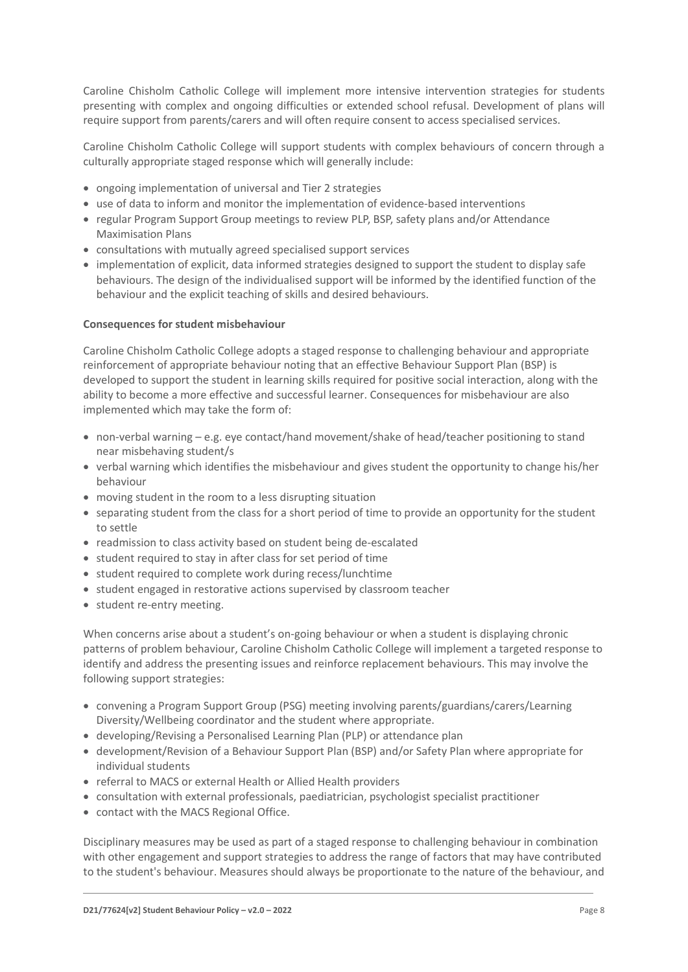Caroline Chisholm Catholic College will implement more intensive intervention strategies for students presenting with complex and ongoing difficulties or extended school refusal. Development of plans will require support from parents/carers and will often require consent to access specialised services.

Caroline Chisholm Catholic College will support students with complex behaviours of concern through a culturally appropriate staged response which will generally include:

- ongoing implementation of universal and Tier 2 strategies
- use of data to inform and monitor the implementation of evidence-based interventions
- regular Program Support Group meetings to review PLP, BSP, safety plans and/or Attendance Maximisation Plans
- consultations with mutually agreed specialised support services
- implementation of explicit, data informed strategies designed to support the student to display safe behaviours. The design of the individualised support will be informed by the identified function of the behaviour and the explicit teaching of skills and desired behaviours.

#### **Consequences for student misbehaviour**

Caroline Chisholm Catholic College adopts a staged response to challenging behaviour and appropriate reinforcement of appropriate behaviour noting that an effective Behaviour Support Plan (BSP) is developed to support the student in learning skills required for positive social interaction, along with the ability to become a more effective and successful learner. Consequences for misbehaviour are also implemented which may take the form of:

- non-verbal warning e.g. eye contact/hand movement/shake of head/teacher positioning to stand near misbehaving student/s
- verbal warning which identifies the misbehaviour and gives student the opportunity to change his/her behaviour
- moving student in the room to a less disrupting situation
- separating student from the class for a short period of time to provide an opportunity for the student to settle
- readmission to class activity based on student being de-escalated
- student required to stay in after class for set period of time
- student required to complete work during recess/lunchtime
- student engaged in restorative actions supervised by classroom teacher
- student re-entry meeting.

When concerns arise about a student's on-going behaviour or when a student is displaying chronic patterns of problem behaviour, Caroline Chisholm Catholic College will implement a targeted response to identify and address the presenting issues and reinforce replacement behaviours. This may involve the following support strategies:

- convening a Program Support Group (PSG) meeting involving parents/guardians/carers/Learning Diversity/Wellbeing coordinator and the student where appropriate.
- developing/Revising a Personalised Learning Plan (PLP) or attendance plan
- development/Revision of a Behaviour Support Plan (BSP) and/or Safety Plan where appropriate for individual students
- referral to MACS or external Health or Allied Health providers
- consultation with external professionals, paediatrician, psychologist specialist practitioner
- contact with the MACS Regional Office.

Disciplinary measures may be used as part of a staged response to challenging behaviour in combination with other engagement and support strategies to address the range of factors that may have contributed to the student's behaviour. Measures should always be proportionate to the nature of the behaviour, and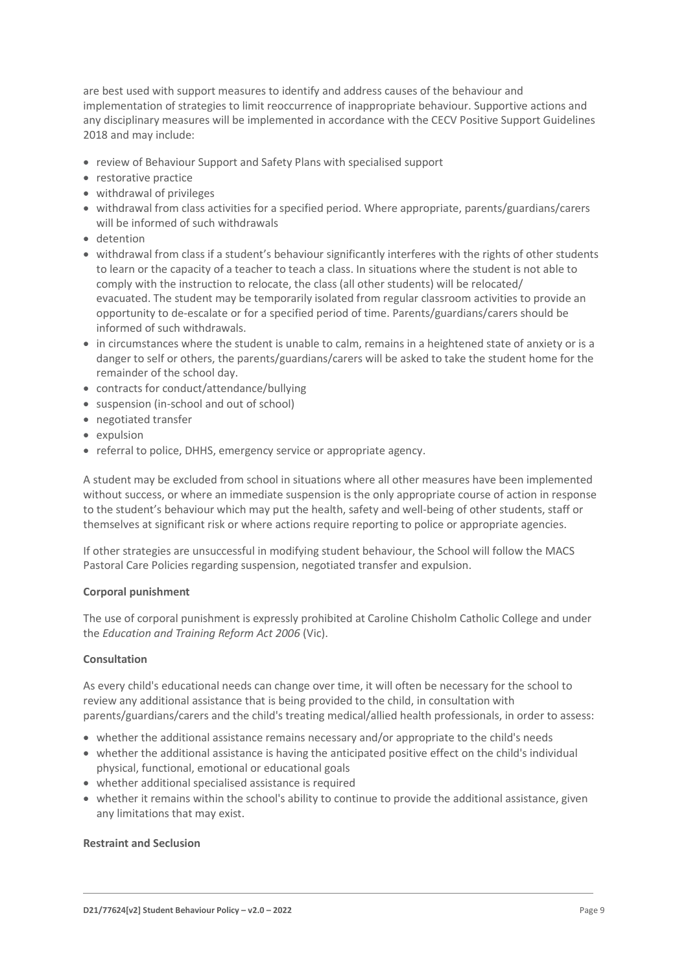are best used with support measures to identify and address causes of the behaviour and implementation of strategies to limit reoccurrence of inappropriate behaviour. Supportive actions and any disciplinary measures will be implemented in accordance with the CECV Positive Support Guidelines 2018 and may include:

- review of Behaviour Support and Safety Plans with specialised support
- restorative practice
- withdrawal of privileges
- withdrawal from class activities for a specified period. Where appropriate, parents/guardians/carers will be informed of such withdrawals
- detention
- withdrawal from class if a student's behaviour significantly interferes with the rights of other students to learn or the capacity of a teacher to teach a class. In situations where the student is not able to comply with the instruction to relocate, the class (all other students) will be relocated/ evacuated. The student may be temporarily isolated from regular classroom activities to provide an opportunity to de-escalate or for a specified period of time. Parents/guardians/carers should be informed of such withdrawals.
- in circumstances where the student is unable to calm, remains in a heightened state of anxiety or is a danger to self or others, the parents/guardians/carers will be asked to take the student home for the remainder of the school day.
- contracts for conduct/attendance/bullying
- suspension (in-school and out of school)
- negotiated transfer
- expulsion
- referral to police, DHHS, emergency service or appropriate agency.

A student may be excluded from school in situations where all other measures have been implemented without success, or where an immediate suspension is the only appropriate course of action in response to the student's behaviour which may put the health, safety and well-being of other students, staff or themselves at significant risk or where actions require reporting to police or appropriate agencies.

If other strategies are unsuccessful in modifying student behaviour, the School will follow the MACS Pastoral Care Policies regarding suspension, negotiated transfer and expulsion.

#### **Corporal punishment**

The use of corporal punishment is expressly prohibited at Caroline Chisholm Catholic College and under the *Education and Training Reform Act 2006* (Vic).

#### **Consultation**

As every child's educational needs can change over time, it will often be necessary for the school to review any additional assistance that is being provided to the child, in consultation with parents/guardians/carers and the child's treating medical/allied health professionals, in order to assess:

- whether the additional assistance remains necessary and/or appropriate to the child's needs
- whether the additional assistance is having the anticipated positive effect on the child's individual physical, functional, emotional or educational goals
- whether additional specialised assistance is required
- whether it remains within the school's ability to continue to provide the additional assistance, given any limitations that may exist.

#### **Restraint and Seclusion**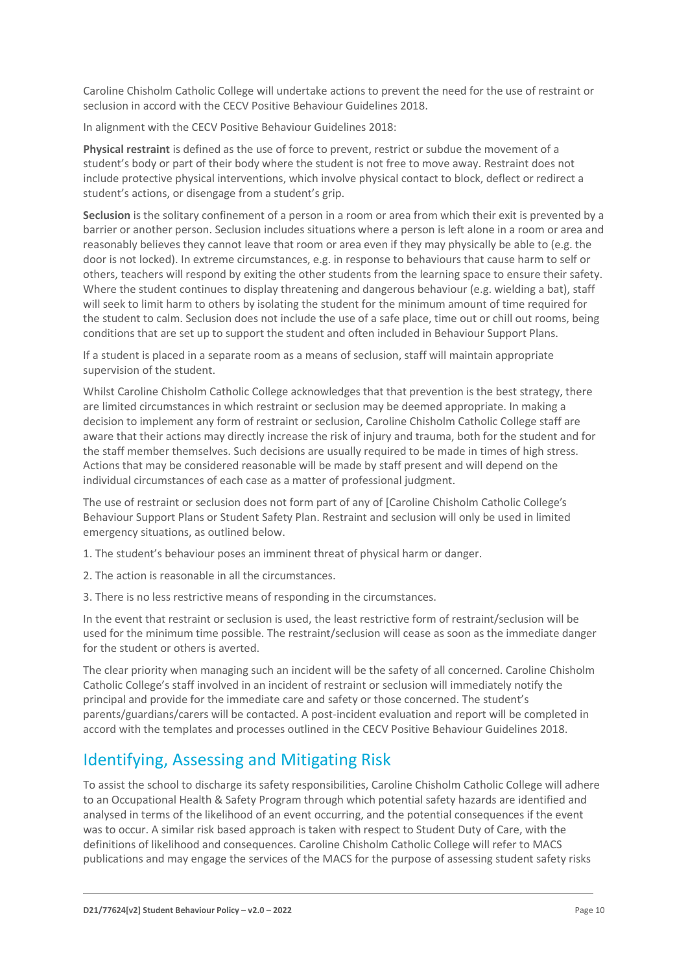Caroline Chisholm Catholic College will undertake actions to prevent the need for the use of restraint or seclusion in accord with the CECV Positive Behaviour Guidelines 2018.

In alignment with the CECV Positive Behaviour Guidelines 2018:

**Physical restraint** is defined as the use of force to prevent, restrict or subdue the movement of a student's body or part of their body where the student is not free to move away. Restraint does not include protective physical interventions, which involve physical contact to block, deflect or redirect a student's actions, or disengage from a student's grip.

**Seclusion** is the solitary confinement of a person in a room or area from which their exit is prevented by a barrier or another person. Seclusion includes situations where a person is left alone in a room or area and reasonably believes they cannot leave that room or area even if they may physically be able to (e.g. the door is not locked). In extreme circumstances, e.g. in response to behaviours that cause harm to self or others, teachers will respond by exiting the other students from the learning space to ensure their safety. Where the student continues to display threatening and dangerous behaviour (e.g. wielding a bat), staff will seek to limit harm to others by isolating the student for the minimum amount of time required for the student to calm. Seclusion does not include the use of a safe place, time out or chill out rooms, being conditions that are set up to support the student and often included in Behaviour Support Plans.

If a student is placed in a separate room as a means of seclusion, staff will maintain appropriate supervision of the student.

Whilst Caroline Chisholm Catholic College acknowledges that that prevention is the best strategy, there are limited circumstances in which restraint or seclusion may be deemed appropriate. In making a decision to implement any form of restraint or seclusion, Caroline Chisholm Catholic College staff are aware that their actions may directly increase the risk of injury and trauma, both for the student and for the staff member themselves. Such decisions are usually required to be made in times of high stress. Actions that may be considered reasonable will be made by staff present and will depend on the individual circumstances of each case as a matter of professional judgment.

The use of restraint or seclusion does not form part of any of [Caroline Chisholm Catholic College's Behaviour Support Plans or Student Safety Plan. Restraint and seclusion will only be used in limited emergency situations, as outlined below.

1. The student's behaviour poses an imminent threat of physical harm or danger.

- 2. The action is reasonable in all the circumstances.
- 3. There is no less restrictive means of responding in the circumstances.

In the event that restraint or seclusion is used, the least restrictive form of restraint/seclusion will be used for the minimum time possible. The restraint/seclusion will cease as soon as the immediate danger for the student or others is averted.

The clear priority when managing such an incident will be the safety of all concerned. Caroline Chisholm Catholic College's staff involved in an incident of restraint or seclusion will immediately notify the principal and provide for the immediate care and safety or those concerned. The student's parents/guardians/carers will be contacted. A post-incident evaluation and report will be completed in accord with the templates and processes outlined in the CECV Positive Behaviour Guidelines 2018.

# Identifying, Assessing and Mitigating Risk

To assist the school to discharge its safety responsibilities, Caroline Chisholm Catholic College will adhere to an Occupational Health & Safety Program through which potential safety hazards are identified and analysed in terms of the likelihood of an event occurring, and the potential consequences if the event was to occur. A similar risk based approach is taken with respect to Student Duty of Care, with the definitions of likelihood and consequences. Caroline Chisholm Catholic College will refer to MACS publications and may engage the services of the MACS for the purpose of assessing student safety risks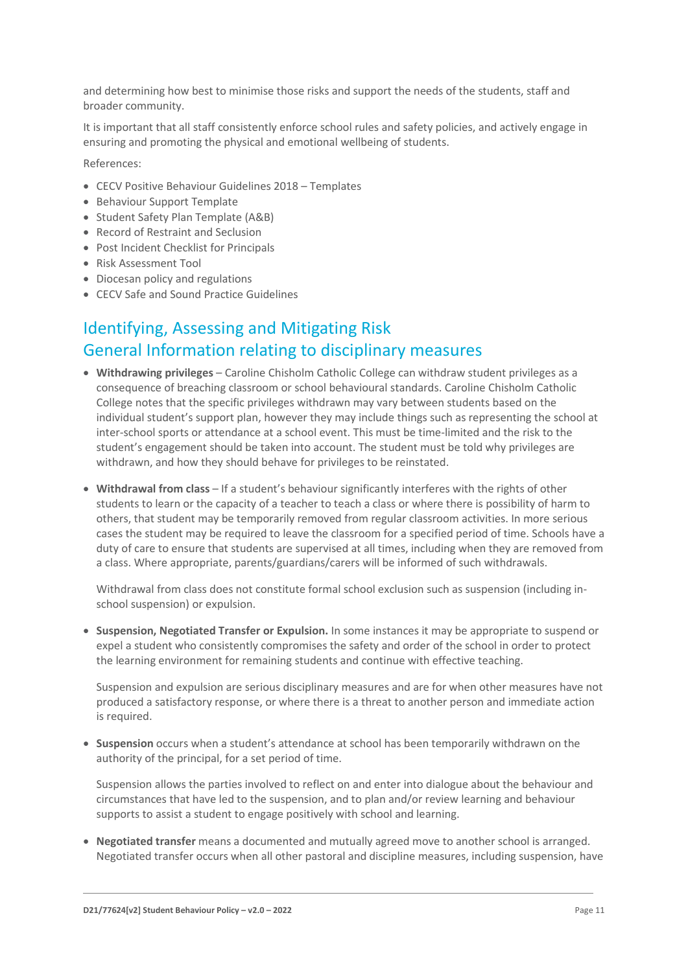and determining how best to minimise those risks and support the needs of the students, staff and broader community.

It is important that all staff consistently enforce school rules and safety policies, and actively engage in ensuring and promoting the physical and emotional wellbeing of students.

References:

- CECV Positive Behaviour Guidelines 2018 Templates
- Behaviour Support Template
- Student Safety Plan Template (A&B)
- Record of Restraint and Seclusion
- Post Incident Checklist for Principals
- Risk Assessment Tool
- Diocesan policy and regulations
- CECV Safe and Sound Practice Guidelines

# Identifying, Assessing and Mitigating Risk General Information relating to disciplinary measures

- **Withdrawing privileges** Caroline Chisholm Catholic College can withdraw student privileges as a consequence of breaching classroom or school behavioural standards. Caroline Chisholm Catholic College notes that the specific privileges withdrawn may vary between students based on the individual student's support plan, however they may include things such as representing the school at inter-school sports or attendance at a school event. This must be time-limited and the risk to the student's engagement should be taken into account. The student must be told why privileges are withdrawn, and how they should behave for privileges to be reinstated.
- **Withdrawal from class** If a student's behaviour significantly interferes with the rights of other students to learn or the capacity of a teacher to teach a class or where there is possibility of harm to others, that student may be temporarily removed from regular classroom activities. In more serious cases the student may be required to leave the classroom for a specified period of time. Schools have a duty of care to ensure that students are supervised at all times, including when they are removed from a class. Where appropriate, parents/guardians/carers will be informed of such withdrawals.

Withdrawal from class does not constitute formal school exclusion such as suspension (including inschool suspension) or expulsion.

• **Suspension, Negotiated Transfer or Expulsion.** In some instances it may be appropriate to suspend or expel a student who consistently compromises the safety and order of the school in order to protect the learning environment for remaining students and continue with effective teaching.

Suspension and expulsion are serious disciplinary measures and are for when other measures have not produced a satisfactory response, or where there is a threat to another person and immediate action is required.

• **Suspension** occurs when a student's attendance at school has been temporarily withdrawn on the authority of the principal, for a set period of time.

Suspension allows the parties involved to reflect on and enter into dialogue about the behaviour and circumstances that have led to the suspension, and to plan and/or review learning and behaviour supports to assist a student to engage positively with school and learning.

• **Negotiated transfer** means a documented and mutually agreed move to another school is arranged. Negotiated transfer occurs when all other pastoral and discipline measures, including suspension, have